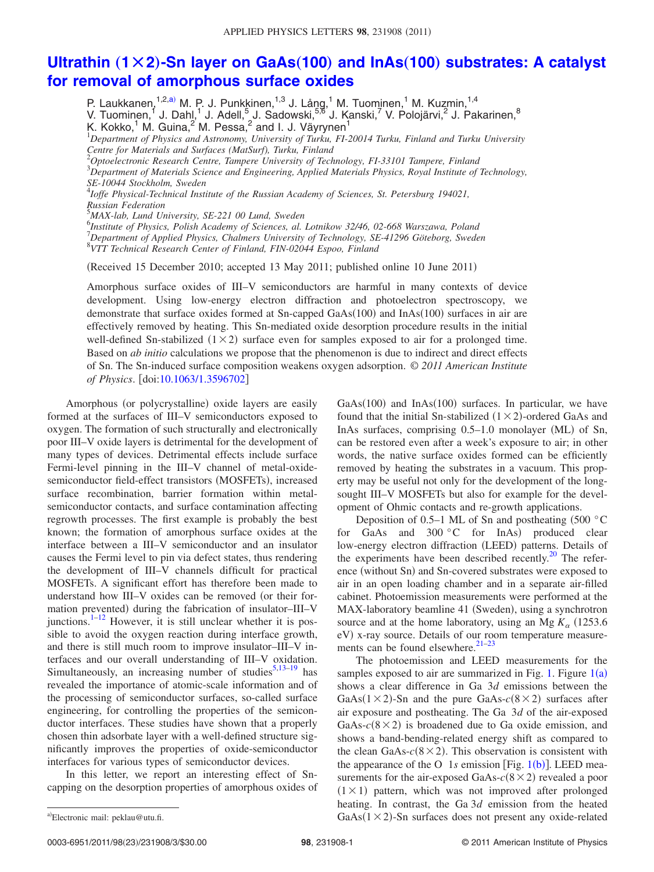## **Ultrathin** ( $1 \times 2$ )-Sn layer on GaAs( $100$ ) and InAs( $100$ ) [substrates: A catalyst](http://dx.doi.org/10.1063/1.3596702) **[for removal of amorphous surface oxides](http://dx.doi.org/10.1063/1.3596702)**

P. Laukkanen, <sup>1,2[,a](#page-0-0))</sup> M. P. J. Punkkinen, <sup>1,3</sup> J. Lång, <sup>1</sup> M. Tuominen, <sup>1</sup> M. Kuzmin, <sup>1,4</sup> V. Tuominen,<sup>1</sup> J. Dahl,<sup>1</sup> J. Adell,<sup>5</sup> J. Sadowski,<sup>5,6</sup> J. Kanski,<sup>7</sup> V. Polojärvi,<sup>2</sup> J. Pakarinen,<sup>8</sup> K. Kokko, $^1$  M. Guina, $^2$  M. Pessa, $^2$  and I. J. Väyrynen $^1$ 1 *Department of Physics and Astronomy, University of Turku, FI-20014 Turku, Finland and Turku University Centre for Materials and Surfaces (MatSurf), Turku, Finland* 2 *Optoelectronic Research Centre, Tampere University of Technology, FI-33101 Tampere, Finland* 3 *Department of Materials Science and Engineering, Applied Materials Physics, Royal Institute of Technology, SE-10044 Stockholm, Sweden* 4 *Ioffe Physical-Technical Institute of the Russian Academy of Sciences, St. Petersburg 194021, Russian Federation* 5 *MAX-lab, Lund University, SE-221 00 Lund, Sweden* 6 *Institute of Physics, Polish Academy of Sciences, al. Lotnikow 32/46, 02-668 Warszawa, Poland* 7 *Department of Applied Physics, Chalmers University of Technology, SE-41296 Göteborg, Sweden* 8 *VTT Technical Research Center of Finland, FIN-02044 Espoo, Finland*

(Received 15 December 2010; accepted 13 May 2011; published online 10 June 2011)

Amorphous surface oxides of III–V semiconductors are harmful in many contexts of device development. Using low-energy electron diffraction and photoelectron spectroscopy, we demonstrate that surface oxides formed at Sn-capped  $GaAs(100)$  and  $InAs(100)$  surfaces in air are effectively removed by heating. This Sn-mediated oxide desorption procedure results in the initial well-defined Sn-stabilized  $(1 \times 2)$  surface even for samples exposed to air for a prolonged time. Based on *ab initio* calculations we propose that the phenomenon is due to indirect and direct effects of Sn. The Sn-induced surface composition weakens oxygen adsorption. © *2011 American Institute of Physics.* [doi[:10.1063/1.3596702](http://dx.doi.org/10.1063/1.3596702)]

Amorphous (or polycrystalline) oxide layers are easily formed at the surfaces of III–V semiconductors exposed to oxygen. The formation of such structurally and electronically poor III–V oxide layers is detrimental for the development of many types of devices. Detrimental effects include surface Fermi-level pinning in the III–V channel of metal-oxidesemiconductor field-effect transistors (MOSFETs), increased surface recombination, barrier formation within metalsemiconductor contacts, and surface contamination affecting regrowth processes. The first example is probably the best known; the formation of amorphous surface oxides at the interface between a III–V semiconductor and an insulator causes the Fermi level to pin via defect states, thus rendering the development of III–V channels difficult for practical MOSFETs. A significant effort has therefore been made to understand how III–V oxides can be removed (or their formation prevented) during the fabrication of insulator–III–V junctions. $1-12$  However, it is still unclear whether it is possible to avoid the oxygen reaction during interface growth, and there is still much room to improve insulator–III–V interfaces and our overall understanding of III–V oxidation. Simultaneously, an increasing number of studies $5,13-19$  $5,13-19$  $5,13-19$  has revealed the importance of atomic-scale information and of the processing of semiconductor surfaces, so-called surface engineering, for controlling the properties of the semiconductor interfaces. These studies have shown that a properly chosen thin adsorbate layer with a well-defined structure significantly improves the properties of oxide-semiconductor interfaces for various types of semiconductor devices.

<span id="page-0-0"></span>In this letter, we report an interesting effect of Sncapping on the desorption properties of amorphous oxides of

GaAs(100) and InAs(100) surfaces. In particular, we have found that the initial Sn-stabilized  $(1 \times 2)$ -ordered GaAs and InAs surfaces, comprising 0.5-1.0 monolayer (ML) of Sn, can be restored even after a week's exposure to air; in other words, the native surface oxides formed can be efficiently removed by heating the substrates in a vacuum. This property may be useful not only for the development of the longsought III–V MOSFETs but also for example for the development of Ohmic contacts and re-growth applications.

Deposition of 0.5–1 ML of Sn and postheating (500  $\degree$ C for GaAs and  $300 °C$  for InAs) produced clear low-energy electron diffraction (LEED) patterns. Details of the experiments have been described recently. $^{20}$  The reference (without Sn) and Sn-covered substrates were exposed to air in an open loading chamber and in a separate air-filled cabinet. Photoemission measurements were performed at the MAX-laboratory beamline 41 (Sweden), using a synchrotron source and at the home laboratory, using an Mg  $K_{\alpha}$  (1253.6) eV) x-ray source. Details of our room temperature measurements can be found elsewhere. $2^{1-23}$ 

The photoemission and LEED measurements for the samples exposed to air are summarized in Fig. [1.](#page-1-0) Figure  $1(a)$  $1(a)$ shows a clear difference in Ga 3*d* emissions between the GaAs( $1 \times 2$ )-Sn and the pure GaAs- $c(8 \times 2)$  surfaces after air exposure and postheating. The Ga 3*d* of the air-exposed GaAs- $c$ (8  $\times$  2) is broadened due to Ga oxide emission, and shows a band-bending-related energy shift as compared to the clean GaAs- $c(8 \times 2)$ . This observation is consistent with the appearance of the O  $1s$  $1s$  emission [Fig.  $1(b)$ ]. LEED measurements for the air-exposed GaAs- $c(8 \times 2)$  revealed a poor  $(1 \times 1)$  pattern, which was not improved after prolonged heating. In contrast, the Ga 3*d* emission from the heated a)Electronic mail: peklau@utu.fi. <br>  $GaAs(1 \times 2)$ -Sn surfaces does not present any oxide-related

a)Electronic mail: peklau@utu.fi.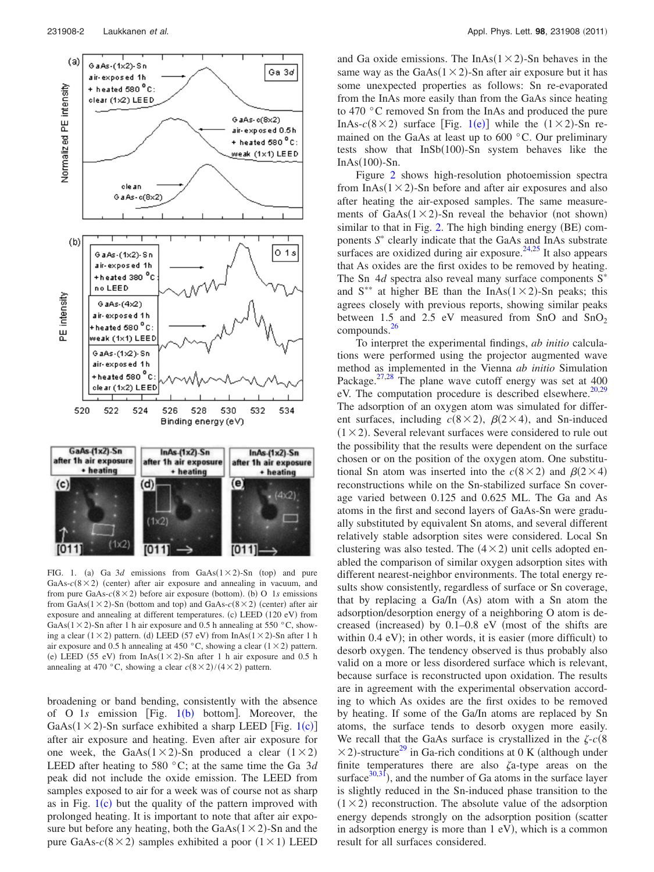<span id="page-1-0"></span>

FIG. 1. (a) Ga  $3d$  emissions from GaAs $(1 \times 2)$ -Sn (top) and pure GaAs- $c(8 \times 2)$  (center) after air exposure and annealing in vacuum, and from pure  $GaAs-c(8\times2)$  before air exposure (bottom). (b) O 1*s* emissions from GaAs( $1 \times 2$ )-Sn (bottom and top) and GaAs- $c(8 \times 2)$  (center) after air exposure and annealing at different temperatures. (c) LEED (120 eV) from GaAs( $1 \times 2$ )-Sn after 1 h air exposure and 0.5 h annealing at 550 °C, showing a clear  $(1 \times 2)$  pattern. (d) LEED (57 eV) from InAs( $1 \times 2$ )-Sn after 1 h air exposure and 0.5 h annealing at 450 °C, showing a clear  $(1 \times 2)$  pattern. (e) LEED (55 eV) from  $InAs(1 \times 2)$ -Sn after 1 h air exposure and 0.5 h annealing at 470 °C, showing a clear  $c(8 \times 2)/(4 \times 2)$  pattern.

broadening or band bending, consistently with the absence of O [1](#page-1-0)s emission [Fig. 1(b) bottom]. Moreover, the GaAs( $1 \times 2$  $1 \times 2$ )-Sn surface exhibited a sharp LEED [Fig.  $1(c)$ ] after air exposure and heating. Even after air exposure for one week, the GaAs( $1 \times 2$ )-Sn produced a clear ( $1 \times 2$ ) LEED after heating to 580 °C; at the same time the Ga 3*d* peak did not include the oxide emission. The LEED from samples exposed to air for a week was of course not as sharp as in Fig.  $1(c)$  $1(c)$  but the quality of the pattern improved with prolonged heating. It is important to note that after air exposure but before any heating, both the  $GaAs(1 \times 2)$ -Sn and the pure GaAs- $c$ (8  $\times$  2) samples exhibited a poor (1  $\times$  1) LEED

and Ga oxide emissions. The InAs( $1 \times 2$ )-Sn behaves in the same way as the GaAs $(1 \times 2)$ -Sn after air exposure but it has some unexpected properties as follows: Sn re-evaporated from the InAs more easily than from the GaAs since heating to 470 °C removed Sn from the InAs and produced the pure InAs- $c(8 \times 2)$  surface [Fig. [1](#page-1-0)(e)] while the  $(1 \times 2)$ -Sn remained on the GaAs at least up to 600 °C. Our preliminary tests show that  $InSb(100)$ -Sn system behaves like the  $InAs(100)$ -Sn.

Figure [2](#page-2-8) shows high-resolution photoemission spectra from  $InAs(1 \times 2)$ -Sn before and after air exposures and also after heating the air-exposed samples. The same measurements of  $GaAs(1 \times 2)$ -Sn reveal the behavior (not shown) similar to that in Fig. [2.](#page-2-8) The high binding energy (BE) components S<sup>\*</sup> clearly indicate that the GaAs and InAs substrate surfaces are oxidized during air exposure.<sup>[24,](#page-2-9)[25](#page-2-10)</sup> It also appears that As oxides are the first oxides to be removed by heating. The Sn  $4d$  spectra also reveal many surface components  $S^*$ and  $S^{**}$  at higher BE than the InAs( $1 \times 2$ )-Sn peaks; this agrees closely with previous reports, showing similar peaks between 1.5 and 2.5 eV measured from SnO and SnO<sub>2</sub> compounds[.26](#page-2-11)

To interpret the experimental findings, *ab initio* calculations were performed using the projector augmented wave method as implemented in the Vienna *ab initio* Simulation Package. $27.28$  $27.28$  The plane wave cutoff energy was set at 400 eV. The computation procedure is described elsewhere.<sup>20,[29](#page-2-14)</sup> The adsorption of an oxygen atom was simulated for different surfaces, including  $c(8 \times 2)$ ,  $\beta(2 \times 4)$ , and Sn-induced  $(1 \times 2)$ . Several relevant surfaces were considered to rule out the possibility that the results were dependent on the surface chosen or on the position of the oxygen atom. One substitutional Sn atom was inserted into the  $c(8 \times 2)$  and  $\beta(2 \times 4)$ reconstructions while on the Sn-stabilized surface Sn coverage varied between 0.125 and 0.625 ML. The Ga and As atoms in the first and second layers of GaAs-Sn were gradually substituted by equivalent Sn atoms, and several different relatively stable adsorption sites were considered. Local Sn clustering was also tested. The  $(4 \times 2)$  unit cells adopted enabled the comparison of similar oxygen adsorption sites with different nearest-neighbor environments. The total energy results show consistently, regardless of surface or Sn coverage, that by replacing a Ga/In (As) atom with a Sn atom the adsorption/desorption energy of a neighboring O atom is decreased (increased) by  $0.1-0.8$  eV (most of the shifts are within  $0.4$  eV); in other words, it is easier (more difficult) to desorb oxygen. The tendency observed is thus probably also valid on a more or less disordered surface which is relevant, because surface is reconstructed upon oxidation. The results are in agreement with the experimental observation according to which As oxides are the first oxides to be removed by heating. If some of the Ga/In atoms are replaced by Sn atoms, the surface tends to desorb oxygen more easily. We recall that the GaAs surface is crystallized in the  $\zeta$ - $c(8)$  $\times$ 2)-structure<sup>29</sup> in Ga-rich conditions at 0 K (although under finite temperatures there are also  $\zeta$ a-type areas on the surface $30,31$  $30,31$ , and the number of Ga atoms in the surface layer is slightly reduced in the Sn-induced phase transition to the  $(1 \times 2)$  reconstruction. The absolute value of the adsorption energy depends strongly on the adsorption position (scatter in adsorption energy is more than 1 eV), which is a common result for all surfaces considered.